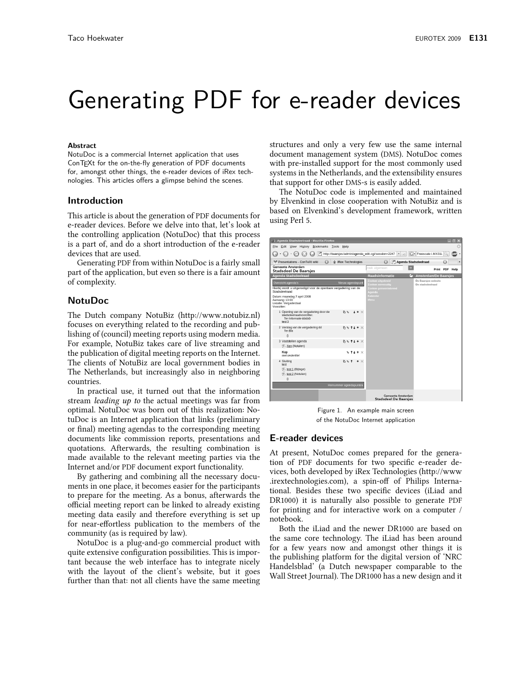# Generating PDF for e-reader devices

#### **Ahstract**

NotuDoc is a commercial Internet application that uses ConTEXt for the on-the-fly generation of PDF documents for, amongst other things, the e-reader devices of iRex technologies. This articles offers a glimpse behind the scenes.

# Introduction

This article is about the generation of PDF documents for e-reader devices. Before we delve into that, let's look at the controlling application (NotuDoc) that this process is a part of, and do a short introduction of the e-reader devices that are used.

Generating PDF from within NotuDoc is a fairly small part of the application, but even so there is a fair amount of complexity.

# **NotuDoc**

The Dutch company NotuBiz (http://www.notubiz.nl) focuses on everything related to the recording and publishing of (council) meeting reports using modern media. For example, NotuBiz takes care of live streaming and the publication of digital meeting reports on the Internet. The clients of NotuBiz are local government bodies in The Netherlands, but increasingly also in neighboring countries.

In practical use, it turned out that the information stream *leading up to the actual meetings was far from* optimal. NotuDoc was born out of this realization: NotuDoc is an Internet application that links (preliminary or final) meeting agendas to the corresponding meeting documents like commission reports, presentations and quotations. Afterwards, the resulting combination is made available to the relevant meeting parties via the Internet and/or PDF document export functionality.

By gathering and combining all the necessary documents in one place, it becomes easier for the participants to prepare for the meeting. As a bonus, afterwards the official meeting report can be linked to already existing meeting data easily and therefore everything is set up for near-effortless publication to the members of the community (as is required by law).

NotuDoc is a plug-and-go commercial product with quite extensive configuration possibilities. This is important because the web interface has to integrate nicely with the layout of the client's website, but it goes further than that: not all clients have the same meeting

structures and only a very few use the same internal document management system (DMS). NotuDoc comes with pre-installed support for the most commonly used systems in the Netherlands, and the extensibility ensures that support for other DMS-s is easily added.

The NotuDoc code is implemented and maintained by Elvenkind in close cooperation with NotuBiz and is based on Elvenkind's development framework, written using Perl 5.

| Agenda Stadsdeelraad - Mozilla Firefox<br>$\mathbf{x}$<br>⊞⊪                                                                                                                    |                             |                                                                         |                                         |                |
|---------------------------------------------------------------------------------------------------------------------------------------------------------------------------------|-----------------------------|-------------------------------------------------------------------------|-----------------------------------------|----------------|
| Edit View History Bookmarks Tools<br>File<br>Help                                                                                                                               |                             |                                                                         |                                         |                |
| http://baarsjes/admin/agenda_edit.cgi/session=2247<br>a<br>G - Freescale I.MX31L<br>$\cdot \odot \cdot \odot \odot$<br>$\left  \downarrow \right $<br>$\boldsymbol{\mathrm{v}}$ |                             |                                                                         |                                         | ABPI           |
| <sup>16</sup> Presentations - ConTeXt wiki<br>$\odot$                                                                                                                           | <b>ii</b> iRex Technologies | Agenda Stadsdeelraad<br>$\odot$                                         | $\odot$                                 |                |
| Gemeente Amsterdam<br><b>Stadsdeel De Baarsjes</b>                                                                                                                              |                             | $\rightarrow$<br>zoek algemeen                                          |                                         | Print PDF Help |
| <b>Agenda Stadsdeelraad</b>                                                                                                                                                     |                             | Raadsinformatie<br>o.                                                   | <b>Amsterdam/De Baarsjes</b>            |                |
| Overzicht agenda's<br>Hierbij wordt u uitgenodigd voor de openbare vergadering van de<br>Stadsdeelraad                                                                          | Nieuw agendapunt            | Zoeken uitgebreid<br>Zoeken eenvoudig<br>Zoeken gemeentebreed<br>Agenda | De Baarsjes website<br>De stadsdeelraad |                |
| Datum: maandag 7 april 2008<br>Aanvang: 13:00<br>Locatie: Vergaderzaal<br>Voorzitter:                                                                                           |                             | Kalender<br>Menu                                                        |                                         |                |
| 1 Opening van de vergadering door de<br>stadsdeelraadvoorzitter.<br>Ter informatie bbbbb<br>test 3                                                                              | $N = 1 + X$                 |                                                                         |                                         |                |
| 2 Verslag van de vergadering dd<br>Ter Ria<br>$\theta$                                                                                                                          | $B + H + X$                 |                                                                         |                                         |                |
| 3 Vaststellen agenda<br> 人 Xen (Notulen)                                                                                                                                        | $h \in H + \times$          |                                                                         |                                         |                |
| Kop<br>met ondertitel                                                                                                                                                           | $\sqrt{11}$                 |                                                                         |                                         |                |
| 4 Sluiting<br>test<br>医 test 1 (Bijlage)<br>人 test 2 (Notulen)<br>$\theta$                                                                                                      | $B \cup T \rightarrow X$    |                                                                         |                                         |                |
| Hernummer agendapunten                                                                                                                                                          |                             |                                                                         |                                         |                |
|                                                                                                                                                                                 |                             | <b>Gemeente Amsterdam</b><br><b>Stadsdeel De Baarsjes</b>               |                                         |                |

Figure 1. An example main screen of the NotuDoc Internet application

# **E-reader devices**

At present, NotuDoc comes prepared for the generation of PDF documents for two specific e-reader devices, both developed by iRex Technologies (http://www irextechnologies.com), a spin-off of Philips International. Besides these two specific devices (iLiad and DR1000) it is naturally also possible to generate PDF for printing and for interactive work on a computer / notebook.

Both the iLiad and the newer DR1000 are based on the same core technology. The iLiad has been around for a few years now and amongst other things it is the publishing platform for the digital version of 'NRC Handelsblad' (a Dutch newspaper comparable to the Wall Street Journal). The DR1000 has a new design and it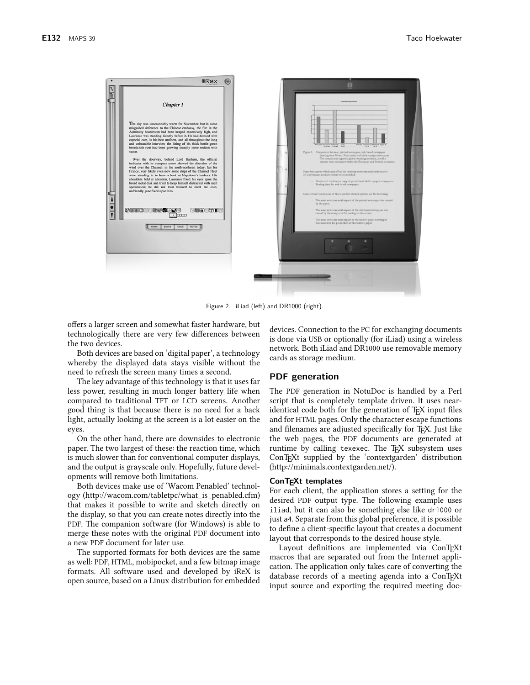

Figure 2. iLiad (left) and DR1000 (right).

offers a larger screen and somewhat faster hardware, but technologically there are very few differences between the two devices.

Both devices are based on 'digital paper', a technology whereby the displayed data stays visible without the need to refresh the screen many times a second.

The key advantage of this technology is that it uses far less power, resulting in much longer battery life when compared to traditional TFT or LCD screens. Another good thing is that because there is no need for a back light, actually looking at the screen is a lot easier on the eyes.

On the other hand, there are downsides to electronic paper. The two largest of these: the reaction time, which is much slower than for conventional computer displays, and the output is grayscale only. Hopefully, future developments will remove both limitations.

Both devices make use of 'Wacom Penabled' technology (http://wacom.com/tabletpc/what\_is\_penabled.cfm) that makes it possible to write and sketch directly on the display, so that you can create notes directly into the PDF. The companion software (for Windows) is able to merge these notes with the original PDF document into a new PDF document for later use.

The supported formats for both devices are the same as well: PDF, HTML, mobipocket, and a few bitmap image formats. All software used and developed by iReX is open source, based on a Linux distribution for embedded

devices. Connection to the PC for exchanging documents is done via USB or optionally (for iLiad) using a wireless network. Both iLiad and DR1000 use removable memory cards as storage medium.

# **PDF** generation

The PDF generation in NotuDoc is handled by a Perl script that is completely template driven. It uses nearidentical code both for the generation of T<sub>F</sub>X input files and for HTML pages. Only the character escape functions and filenames are adjusted specifically for T<sub>F</sub>X. Just like the web pages, the PDF documents are generated at runtime by calling texexec. The TFX subsystem uses ConT<sub>F</sub>Xt supplied by the 'contextgarden' distribution (http://minimals.contextgarden.net/).

## ConTEXt templates

For each client, the application stores a setting for the desired PDF output type. The following example uses iliad, but it can also be something else like dr1000 or just a4. Separate from this global preference, it is possible to define a client-specific layout that creates a document layout that corresponds to the desired house style.

Layout definitions are implemented via ConTFXt macros that are separated out from the Internet application. The application only takes care of converting the database records of a meeting agenda into a ConTFXt input source and exporting the required meeting doc-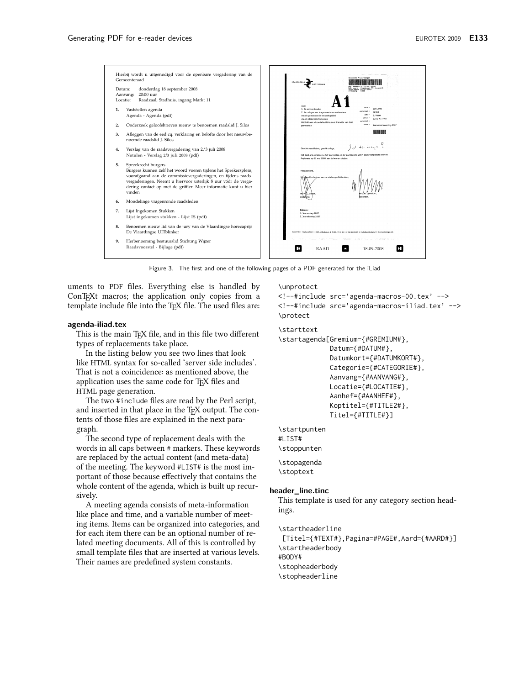

Figure 3. The first and one of the following pages of a PDF generated for the iLiad

uments to PDF files. Everything else is handled by ConT<sub>F</sub>Xt macros; the application only copies from a template include file into the TFX file. The used files are:

#### agenda-iliad.tex

This is the main TFX file, and in this file two different types of replacements take place.

In the listing below you see two lines that look like HTML syntax for so-called 'server side includes'. That is not a coincidence: as mentioned above, the application uses the same code for TFX files and HTML page generation.

The two #include files are read by the Perl script, and inserted in that place in the TFX output. The contents of those files are explained in the next paragraph.

The second type of replacement deals with the words in all caps between # markers. These keywords are replaced by the actual content (and meta-data) of the meeting. The keyword #LIST# is the most important of those because effectively that contains the whole content of the agenda, which is built up recursively.

A meeting agenda consists of meta-information like place and time, and a variable number of meeting items. Items can be organized into categories, and for each item there can be an optional number of related meeting documents. All of this is controlled by small template files that are inserted at various levels. Their names are predefined system constants.

\unprotect

<!--#include src='agenda-macros-00.tex' --> <!--#include src='agenda-macros-iliad.tex' --> \protect

#### \starttext

\startagenda[Gremium={#GREMIUM#},

Datum={#DATUM#}, Datumkort={#DATUMKORT#}, Categorie={#CATEGORIE#}, Aanvang={#AANVANG#}, Locatie={#LOCATIE#}, Aanhef={#AANHEF#}, Koptitel={#TITLE2#}, Titel={#TITLE#}]

```
\startpunten
#LIST#
\stoppunten
\stopagenda
```
\stoptext

#### header\_line.tinc

This template is used for any category section headings.

\startheaderline [Titel={#TEXT#}, Pagina=#PAGE#, Aard={#AARD#}] \startheaderbody #BODY# \stopheaderbody \stopheaderline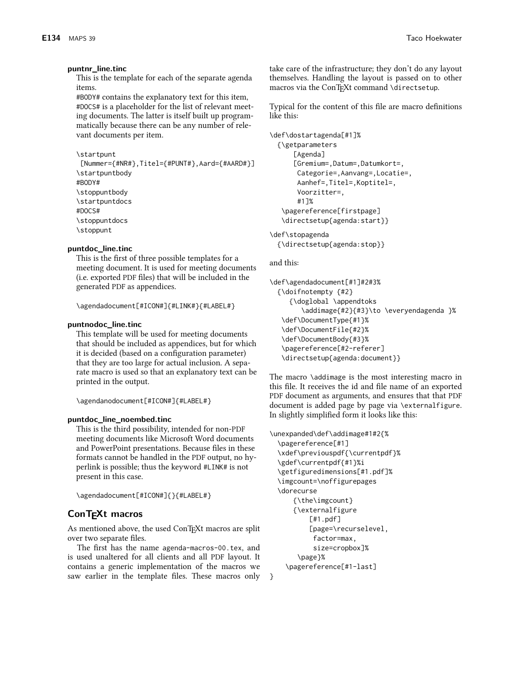## puntnr\_line.tinc

This is the template for each of the separate agenda items.

#BODY# contains the explanatory text for this item, #DOCS# is a placeholder for the list of relevant meeting documents. The latter is itself built up programmatically because there can be any number of relevant documents per item.

```
\startpunt
```

```
[Nummer={#NR#}, Titel={#PUNT#}, Aard={#AARD#}]
\startpuntbody
#BODY#
\stoppuntbody
\startpuntdocs
#DOCS#
\stoppuntdocs
\stoppunt
```
# puntdoc\_line.tinc

This is the first of three possible templates for a meeting document. It is used for meeting documents (i.e. exported PDF files) that will be included in the generated PDF as appendices.

\agendadocument[#ICON#]{#LINK#}{#LABEL#}

#### puntnodoc\_line.tinc

This template will be used for meeting documents that should be included as appendices, but for which it is decided (based on a configuration parameter) that they are too large for actual inclusion. A separate macro is used so that an explanatory text can be printed in the output.

\agendanodocument[#ICON#]{#LABEL#}

#### puntdoc\_line\_noembed.tinc

This is the third possibility, intended for non-PDF meeting documents like Microsoft Word documents and PowerPoint presentations. Because files in these formats cannot be handled in the PDF output, no hyperlink is possible; thus the keyword #LINK# is not present in this case.

\agendadocument[#ICON#]{}{#LABEL#}

# ConTEXt macros

As mentioned above, the used ConTFXt macros are split over two separate files.

The first has the name agenda-macros-00.tex, and is used unaltered for all clients and all PDF layout. It contains a generic implementation of the macros we saw earlier in the template files. These macros only

take care of the infrastructure; they don't do any layout themselves. Handling the layout is passed on to other macros via the ConTFXt command \directsetup.

Typical for the content of this file are macro definitions like this:

```
\def\dostartagenda[#1]%
  {\getparameters
      [Agenda]
      [Gremium=, Datum=, Datumkort=,
       Categorie=, Aanvang=, Locatie=,
       Aanhef=, Titel=, Koptitel=,
       Voorzitter=.
       #17%
   \pagereference[firstpage]
   \directsetup{agenda:start}}
```
\def\stopagenda {\directsetup{agenda:stop}}

# and this:

 $\rightarrow$ 

```
\def\agendadocument[#1]#2#3%
  {\doifnotempty {#2}
     {\doglobal \appendtoks
        \addimage{#2}{#3}\to \everyendagenda }%
   \def\DocumentType{#1}%
   \def\DocumentFile{#2}%
   \def\DocumentBody{#3}%
   \pagereference[#2-referer]
   \directsetup{agenda:document}}
```
The macro \addimage is the most interesting macro in this file. It receives the id and file name of an exported PDF document as arguments, and ensures that that PDF document is added page by page via \externalfigure. In slightly simplified form it looks like this:

```
\unexpanded\def\addimage#1#2{%
  \pagereference[#1]
  \xdef\previouspdf{\currentpdf}%
  \gdef\currentpdf{#1}%i
  \getfiguredimensions[#1.pdf]%
  \imgcount=\noffigurepages
  \dorecurse
     {\the\imgcount}
     {\externalfigure
          [#1.pdf]
          [page=\recurselevel,
           factor=max,
           size=cropbox]%
       \page}%
    \pagereference[#1-last]
```